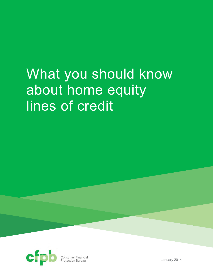# What you should know about home equity lines of credit



Consumer Financial<br>Protection Bureau

January 2014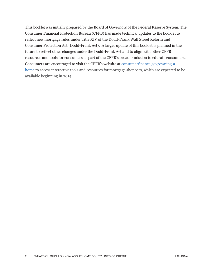This booklet was initially prepared by the Board of Governors of the Federal Reserve System. The Consumer Financial Protection Bureau (CFPB) has made technical updates to the booklet to reflect new mortgage rules under Title XIV of the Dodd-Frank Wall Street Reform and Consumer Protection Act (Dodd-Frank Act). A larger update of this booklet is planned in the future to reflect other changes under the Dodd-Frank Act and to align with other CFPB resources and tools for consumers as part of the CFPB's broader mission to educate consumers. Consumers are encouraged to visit the CPFB's website at [consumerfinance.gov/](http://www.consumerfinance.gov/owning-a-home/)owning-ahome to access interactive tools and resources for mortgage shoppers, which are expected to be available beginning in 2014.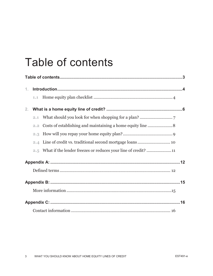## **Table of contents**

| 1.             |     |                                                             |  |  |
|----------------|-----|-------------------------------------------------------------|--|--|
|                | 1.1 |                                                             |  |  |
| 2 <sub>1</sub> |     |                                                             |  |  |
|                | 2.1 |                                                             |  |  |
|                | 2.2 | Costs of establishing and maintaining a home equity line  8 |  |  |
|                | 2.3 |                                                             |  |  |
|                | 2.4 |                                                             |  |  |
|                |     |                                                             |  |  |
|                |     |                                                             |  |  |
|                |     |                                                             |  |  |
|                |     |                                                             |  |  |
|                |     |                                                             |  |  |
|                |     |                                                             |  |  |
|                |     |                                                             |  |  |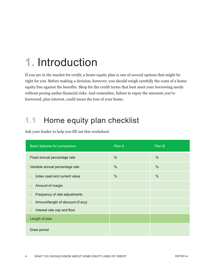## **1.** Introduction

If you are in the market for credit, a home equity plan is one of several options that might be right for you. Before making a decision, however, you should weigh carefully the costs of a home equity line against the benefits. Shop for the credit terms that best meet your borrowing needs without posing undue financial risks. And remember, failure to repay the amounts you've borrowed, plus interest, could mean the loss of your home.

### **1.1 Home equity plan checklist**

| Basic features for comparison                        | Plan A        | Plan B |
|------------------------------------------------------|---------------|--------|
| Fixed annual percentage rate                         | $\%$          | %      |
| Variable annual percentage rate                      | $\frac{0}{0}$ | %      |
| Index used and current value<br>$\qquad \qquad \Box$ | $\frac{0}{0}$ | %      |
| Amount of margin<br>$\Box$                           |               |        |
| Frequency of rate adjustments<br>$\Box$              |               |        |
| Amount/length of discount (if any)<br>$\Box$         |               |        |
| Interest rate cap and floor<br>$\Box$                |               |        |
| Length of plan                                       |               |        |
| Draw period                                          |               |        |

Ask your lender to help you fill out this worksheet.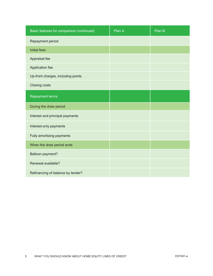| Basic features for comparison (continued) | Plan A | Plan B |
|-------------------------------------------|--------|--------|
| Repayment period                          |        |        |
| <b>Initial fees</b>                       |        |        |
| Appraisal fee                             |        |        |
| Application fee                           |        |        |
| Up-front charges, including points        |        |        |
| <b>Closing costs</b>                      |        |        |
| <b>Repayment terms</b>                    |        |        |
| During the draw period                    |        |        |
| Interest and principal payments           |        |        |
| Interest-only payments                    |        |        |
| Fully amortizing payments                 |        |        |
| When the draw period ends                 |        |        |
| <b>Balloon payment?</b>                   |        |        |
| Renewal available?                        |        |        |
| Refinancing of balance by lender?         |        |        |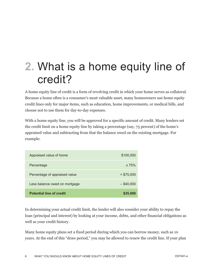## 2. What is a home equity line of credit?

A home equity line of credit is a form of revolving credit in which your home serves as collateral. Because a home often is a consumer's most valuable asset, many homeowners use home equity credit lines only for major items, such as education, home improvements, or medical bills, and choose not to use them for day-to-day expenses.

With a home equity line, you will be approved for a specific amount of credit. Many lenders set the credit limit on a home equity line by taking a percentage (say, 75 percent) of the home's appraised value and subtracting from that the balance owed on the existing mortgage. For example:

| Appraised value of home         | \$100,000     |
|---------------------------------|---------------|
| Percentage                      | $\times 75\%$ |
| Percentage of appraised value   | $=$ \$75,000  |
| Less balance owed on mortgage   | $-$ \$40,000  |
| <b>Potential line of credit</b> | \$35,000      |

In determining your actual credit limit, the lender will also consider your ability to repay the loan (principal and interest) by looking at your income, debts, and other financial obligations as well as your credit history.

Many home equity plans set a fixed period during which you can borrow money, such as 10 years. At the end of this "draw period," you may be allowed to renew the credit line. If your plan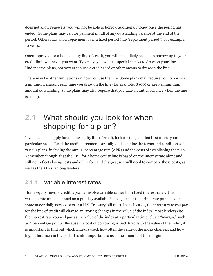does not allow renewals, you will not be able to borrow additional money once the period has ended. Some plans may call for payment in full of any outstanding balance at the end of the period. Others may allow repayment over a fixed period (the "repayment period"), for example, 10 years.

Once approved for a home equity line of credit, you will most likely be able to borrow up to your credit limit whenever you want. Typically, you will use special checks to draw on your line. Under some plans, borrowers can use a credit card or other means to draw on the line.

There may be other limitations on how you use the line. Some plans may require you to borrow a minimum amount each time you draw on the line (for example, \$300) or keep a minimum amount outstanding. Some plans may also require that you take an initial advance when the line is set up.

### 2.1 What should you look for when shopping for a plan?

If you decide to apply for a home equity line of credit, look for the plan that best meets your particular needs. Read the credit agreement carefully, and examine the terms and conditions of various plans, including the annual percentage rate (APR) and the costs of establishing the plan. Remember, though, that the APR for a home equity line is based on the interest rate alone and will not reflect closing costs and other fees and charges, so you'll need to compare these costs, as well as the APRs, among lenders.

#### **2.1.1 Variable interest rates**

Home equity lines of credit typically involve variable rather than fixed interest rates. The variable rate must be based on a publicly available index (such as the prime rate published in some major daily newspapers or a U.S. Treasury bill rate). In such cases, the interest rate you pay for the line of credit will change, mirroring changes in the value of the index. Most lenders cite the interest rate you will pay as the value of the index at a particular time, plus a "margin," such as 2 percentage points. Because the cost of borrowing is tied directly to the value of the index, it is important to find out which index is used, how often the value of the index changes, and how high it has risen in the past. It is also important to note the amount of the margin.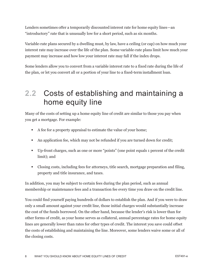Lenders sometimes offer a temporarily discounted interest rate for home equity lines—an "introductory" rate that is unusually low for a short period, such as six months.

Variable-rate plans secured by a dwelling must, by law, have a ceiling (or cap) on how much your interest rate may increase over the life of the plan. Some variable-rate plans limit how much your payment may increase and how low your interest rate may fall if the index drops.

Some lenders allow you to convert from a variable interest rate to a fixed rate during the life of the plan, or let you convert all or a portion of your line to a fixed-term installment loan.

### **2.2 Costs of establishing and maintaining a** home equity line

Many of the costs of setting up a home equity line of credit are similar to those you pay when you get a mortgage. For example:

- A fee for a property appraisal to estimate the value of your home;
- An application fee, which may not be refunded if you are turned down for credit;
- Up-front charges, such as one or more "points" (one point equals 1 percent of the credit limit); and
- Closing costs, including fees for attorneys, title search, mortgage preparation and filing, property and title insurance, and taxes.

In addition, you may be subject to certain fees during the plan period, such as annual membership or maintenance fees and a transaction fee every time you draw on the credit line.

You could find yourself paying hundreds of dollars to establish the plan. And if you were to draw only a small amount against your credit line, those initial charges would substantially increase the cost of the funds borrowed. On the other hand, because the lender's risk is lower than for other forms of credit, as your home serves as collateral, annual percentage rates for home equity lines are generally lower than rates for other types of credit. The interest you save could offset the costs of establishing and maintaining the line. Moreover, some lenders waive some or all of the closing costs.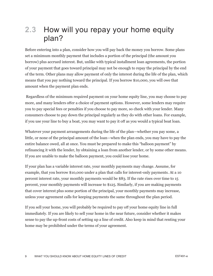### 2.3 How will you repay your home equity plan?

Before entering into a plan, consider how you will pay back the money you borrow. Some plans set a minimum monthly payment that includes a portion of the principal (the amount you borrow) plus accrued interest. But, unlike with typical installment loan agreements, the portion of your payment that goes toward principal may not be enough to repay the principal by the end of the term. Other plans may allow payment of only the interest during the life of the plan, which means that you pay nothing toward the principal. If you borrow \$10,000, you will owe that amount when the payment plan ends.

 Regardless of the minimum required payment on your home equity line, you may choose to pay more, and many lenders offer a choice of payment options. However, some lenders may require you to pay special fees or penalties if you choose to pay more, so check with your lender. Many consumers choose to pay down the principal regularly as they do with other loans. For example, if you use your line to buy a boat, you may want to pay it off as you would a typical boat loan.

Whatever your payment arrangements during the life of the plan—whether you pay some, a little, or none of the principal amount of the loan—when the plan ends, you may have to pay the entire balance owed, all at once. You must be prepared to make this "balloon payment" by refinancing it with the lender, by obtaining a loan from another lender, or by some other means. If you are unable to make the balloon payment, you could lose your home.

If your plan has a variable interest rate, your monthly payments may change. Assume, for example, that you borrow \$10,000 under a plan that calls for interest-only payments. At a 10 percent interest rate, your monthly payments would be \$83. If the rate rises over time to 15 percent, your monthly payments will increase to \$125. Similarly, if you are making payments that cover interest plus some portion of the principal, your monthly payments may increase, unless your agreement calls for keeping payments the same throughout the plan period.

If you sell your home, you will probably be required to pay off your home equity line in full immediately. If you are likely to sell your home in the near future, consider whether it makes sense to pay the up-front costs of setting up a line of credit. Also keep in mind that renting your home may be prohibited under the terms of your agreement.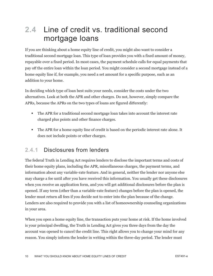### 2.4 Line of credit vs. traditional second mortgage loans

If you are thinking about a home equity line of credit, you might also want to consider a traditional second mortgage loan. This type of loan provides you with a fixed amount of money, repayable over a fixed period. In most cases, the payment schedule calls for equal payments that pay off the entire loan within the loan period. You might consider a second mortgage instead of a home equity line if, for example, you need a set amount for a specific purpose, such as an addition to your home.

In deciding which type of loan best suits your needs, consider the costs under the two alternatives. Look at both the APR and other charges. Do not, however, simply compare the APRs, because the APRs on the two types of loans are figured differently:

- The APR for a traditional second mortgage loan takes into account the interest rate charged plus points and other finance charges.
- The APR for a home equity line of credit is based on the periodic interest rate alone. It does not include points or other charges.

#### **2.4.1 Disclosures from lenders**

The federal Truth in Lending Act requires lenders to disclose the important terms and costs of their home equity plans, including the APR, miscellaneous charges, the payment terms, and information about any variable-rate feature. And in general, neither the lender nor anyone else may charge a fee until after you have received this information. You usually get these disclosures when you receive an application form, and you will get additional disclosures before the plan is opened. If any term (other than a variable-rate feature) changes before the plan is opened, the lender must return all fees if you decide not to enter into the plan because of the change. Lenders are also required to provide you with a list of homeownership counseling organizations in your area.

When you open a home equity line, the transaction puts your home at risk. If the home involved is your principal dwelling, the Truth in Lending Act gives you three days from the day the account was opened to cancel the credit line. This right allows you to change your mind for any reason. You simply inform the lender in writing within the three-day period. The lender must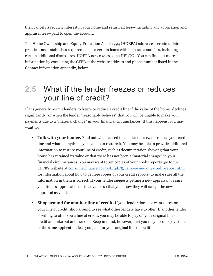then cancel its security interest in your home and return all fees— including any application and appraisal fees—paid to open the account.

The Home Ownership and Equity Protection Act of 1994 (HOEPA) addresses certain unfair practices and establishes requirements for certain loans with high rates and fees, including certain additional disclosures. HOEPA now covers some HELOCs. You can find out more information by contacting the CFPB at the website address and phone number listed in the Contact information appendix, below.

#### 2.5 What if the lender freezes or reduces your line of credit?

Plans generally permit lenders to freeze or reduce a credit line if the value of the home "declines significantly" or when the lender "reasonably believes" that you will be unable to make your payments due to a "material change" in your financial circumstances. If this happens, you may want to:

- **Talk with your lender.** Find out what caused the lender to freeze or reduce your credit line and what, if anything, you can do to restore it. You may be able to provide additional information to restore your line of credit, such as documentation showing that your house has retained its value or that there has not been a "material change" in your financial circumstances. You may want to get copies of your credit reports (go to the CFPB's website at [consumerfinance.gov/askcfpb/5/can-i-review-my-credit-report.html](http://www.consumerfinance.gov/askcfpb/5/can-i-review-my-credit-report.html) for information about how to get free copies of your credit reports) to make sure all the information in them is correct. If your lender suggests getting a new appraisal, be sure you discuss appraisal firms in advance so that you know they will accept the new appraisal as valid.
- **Shop around for another line of credit.** If your lender does not want to restore your line of credit, shop around to see what other lenders have to offer. If another lender is willing to offer you a line of credit, you may be able to pay off your original line of credit and take out another one. Keep in mind, however, that you may need to pay some of the same application fees you paid for your original line of credit.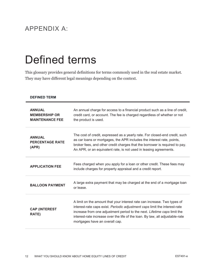#### APPENDIX A:

## Defined terms

This glossary provides general definitions for terms commonly used in the real estate market. They may have different legal meanings depending on the context.

| <b>DEFINED TERM</b>                                             |                                                                                                                                                                                                                                                                                                                                                       |
|-----------------------------------------------------------------|-------------------------------------------------------------------------------------------------------------------------------------------------------------------------------------------------------------------------------------------------------------------------------------------------------------------------------------------------------|
| <b>ANNUAL</b><br><b>MEMBERSHIP OR</b><br><b>MAINTENANCE FEE</b> | An annual charge for access to a financial product such as a line of credit,<br>credit card, or account. The fee is charged regardless of whether or not<br>the product is used.                                                                                                                                                                      |
| <b>ANNUAL</b><br><b>PERCENTAGE RATE</b><br>(APR)                | The cost of credit, expressed as a yearly rate. For closed-end credit, such<br>as car loans or mortgages, the APR includes the interest rate, points,<br>broker fees, and other credit charges that the borrower is required to pay.<br>An APR, or an equivalent rate, is not used in leasing agreements.                                             |
| <b>APPLICATION FEE</b>                                          | Fees charged when you apply for a loan or other credit. These fees may<br>include charges for property appraisal and a credit report.                                                                                                                                                                                                                 |
| <b>BALLOON PAYMENT</b>                                          | A large extra payment that may be charged at the end of a mortgage loan<br>or lease.                                                                                                                                                                                                                                                                  |
| <b>CAP (INTEREST</b><br><b>RATE)</b>                            | A limit on the amount that your interest rate can increase. Two types of<br>interest-rate caps exist. Periodic adjustment caps limit the interest-rate<br>increase from one adjustment period to the next. Lifetime caps limit the<br>interest-rate increase over the life of the loan. By law, all adjustable-rate<br>mortgages have an overall cap. |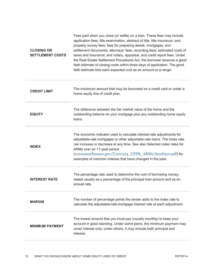| <b>CLOSING OR</b><br><b>SETTLEMENT COSTS</b> | Fees paid when you close (or settle) on a loan. These fees may include<br>application fees; title examination, abstract of title, title insurance, and<br>property survey fees; fees for preparing deeds, mortgages, and<br>settlement documents; attorneys' fees; recording fees; estimated costs of<br>taxes and insurance; and notary, appraisal, and credit report fees. Under<br>the Real Estate Settlement Procedures Act, the borrower receives a good<br>faith estimate of closing costs within three days of application. The good<br>faith estimate lists each expected cost as an amount or a range. |
|----------------------------------------------|-----------------------------------------------------------------------------------------------------------------------------------------------------------------------------------------------------------------------------------------------------------------------------------------------------------------------------------------------------------------------------------------------------------------------------------------------------------------------------------------------------------------------------------------------------------------------------------------------------------------|
| <b>CREDIT LIMIT</b>                          | The maximum amount that may be borrowed on a credit card or under a<br>home equity line of credit plan.                                                                                                                                                                                                                                                                                                                                                                                                                                                                                                         |
| <b>EQUITY</b>                                | The difference between the fair market value of the home and the<br>outstanding balance on your mortgage plus any outstanding home equity<br>loans.                                                                                                                                                                                                                                                                                                                                                                                                                                                             |
| <b>INDEX</b>                                 | The economic indicator used to calculate interest-rate adjustments for<br>adjustable-rate mortgages or other adjustable-rate loans. The index rate<br>can increase or decrease at any time. See also Selected index rates for<br>ARMs over an 11-year period<br>(consumerfinance.gov/f/201204_CFPB_ARMs-brochure.pdf) for<br>examples of common indexes that have changed in the past.                                                                                                                                                                                                                          |
| <b>INTEREST RATE</b>                         | The percentage rate used to determine the cost of borrowing money,<br>stated usually as a percentage of the principal loan amount and as an<br>annual rate.                                                                                                                                                                                                                                                                                                                                                                                                                                                     |
| <b>MARGIN</b>                                | The number of percentage points the lender adds to the index rate to<br>calculate the adjustable-rate-mortgage interest rate at each adjustment.                                                                                                                                                                                                                                                                                                                                                                                                                                                                |
| <b>MINIMUM PAYMENT</b>                       | The lowest amount that you must pay (usually monthly) to keep your<br>account in good standing. Under some plans, the minimum payment may<br>cover interest only; under others, it may include both principal and<br>interest.                                                                                                                                                                                                                                                                                                                                                                                  |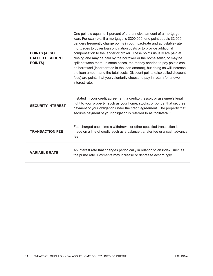| <b>POINTS (ALSO)</b><br><b>CALLED DISCOUNT</b><br><b>POINTS)</b> | One point is equal to 1 percent of the principal amount of a mortgage<br>loan. For example, if a mortgage is \$200,000, one point equals \$2,000.<br>Lenders frequently charge points in both fixed-rate and adjustable-rate<br>mortgages to cover loan origination costs or to provide additional<br>compensation to the lender or broker. These points usually are paid at<br>closing and may be paid by the borrower or the home seller, or may be<br>split between them. In some cases, the money needed to pay points can<br>be borrowed (incorporated in the loan amount), but doing so will increase<br>the loan amount and the total costs. Discount points (also called discount<br>fees) are points that you voluntarily choose to pay in return for a lower<br>interest rate. |
|------------------------------------------------------------------|------------------------------------------------------------------------------------------------------------------------------------------------------------------------------------------------------------------------------------------------------------------------------------------------------------------------------------------------------------------------------------------------------------------------------------------------------------------------------------------------------------------------------------------------------------------------------------------------------------------------------------------------------------------------------------------------------------------------------------------------------------------------------------------|
| <b>SECURITY INTEREST</b>                                         | If stated in your credit agreement, a creditor, lessor, or assignee's legal<br>right to your property (such as your home, stocks, or bonds) that secures<br>payment of your obligation under the credit agreement. The property that<br>secures payment of your obligation is referred to as "collateral."                                                                                                                                                                                                                                                                                                                                                                                                                                                                               |
| <b>TRANSACTION FEE</b>                                           | Fee charged each time a withdrawal or other specified transaction is<br>made on a line of credit, such as a balance transfer fee or a cash advance<br>fee.                                                                                                                                                                                                                                                                                                                                                                                                                                                                                                                                                                                                                               |
| <b>VARIABLE RATE</b>                                             | An interest rate that changes periodically in relation to an index, such as<br>the prime rate. Payments may increase or decrease accordingly.                                                                                                                                                                                                                                                                                                                                                                                                                                                                                                                                                                                                                                            |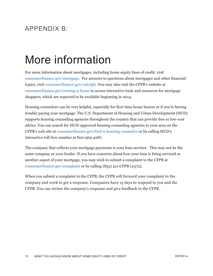#### $APPFNDIX B'$

## More information

For more information about mortgages, including home equity lines of credit, visit [consumerfinance.gov/mortgage.](http://www.consumerfinance.gov/mortgage/) For answers to questions about mortgages and other financial topics, visi[t consumerfinance.gov/askcfpb.](http://www.consumerfinance.gov/askcfpb/) You may also visit the CFPB's website at [consumerfinance.gov/owning-a-home](http://www.consumerfinance.gov/owning-a-home) to access interactive tools and resources for mortgage shoppers, which are expected to be available beginning in 2014.

Housing counselors can be very helpful, especially for first-time home buyers or if you're having trouble paying your mortgage. The U.S. Department of Housing and Urban Development (HUD) supports housing counseling agencies throughout the country that can provide free or low-cost advice. You can search for HUD-approved housing counseling agencies in your area on the CFPB's web site at [consumerfinance.gov/find-a-housing-counselor](http://www.consumerfinance.gov/find-a-housing-counselor) or by calling HUD's interactive toll-free number at 800-569-4287.

The company that collects your mortgage payments is your loan servicer. This may not be the same company as your lender. If you have concerns about how your loan is being serviced or another aspect of your mortgage, you may wish to submit a complaint to the CFPB at [consumerfinance.gov/complaint](http://www.consumerfinance.gov/complaint) or by calling (855) 411-CFPB (2372).

When you submit a complaint to the CFPB, the CFPB will forward your complaint to the company and work to get a response. Companies have 15 days to respond to you and the CFPB. You can review the company's response and give feedback to the CFPB.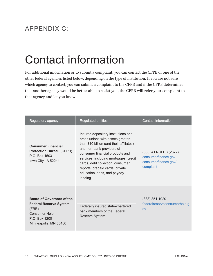#### APPENDIX C:

## Contact information

For additional information or to submit a complaint, you can contact the CFPB or one of the other federal agencies listed below, depending on the type of institution. If you are not sure which agency to contact, you can submit a complaint to the CFPB and if the CFPB determines that another agency would be better able to assist you, the CFPB will refer your complaint to that agency and let you know.

| Regulatory agency                                                                                                                            | <b>Regulated entities</b>                                                                                                                                                                                                                                                                                                                       | <b>Contact information</b>                                                        |
|----------------------------------------------------------------------------------------------------------------------------------------------|-------------------------------------------------------------------------------------------------------------------------------------------------------------------------------------------------------------------------------------------------------------------------------------------------------------------------------------------------|-----------------------------------------------------------------------------------|
| <b>Consumer Financial</b><br><b>Protection Bureau (CFPB)</b><br>P.O. Box 4503<br>Iowa City, IA 52244                                         | Insured depository institutions and<br>credit unions with assets greater<br>than \$10 billion (and their affiliates),<br>and non-bank providers of<br>consumer financial products and<br>services, including mortgages, credit<br>cards, debt collection, consumer<br>reports, prepaid cards, private<br>education loans, and payday<br>lending | (855) 411-CFPB (2372)<br>consumerfinance.gov<br>consumerfinance.gov/<br>complaint |
| <b>Board of Governors of the</b><br><b>Federal Reserve System</b><br>(FRB)<br><b>Consumer Help</b><br>P.O. Box 1200<br>Minneapolis, MN 55480 | Federally insured state-chartered<br>bank members of the Federal<br>Reserve System                                                                                                                                                                                                                                                              | (888) 851-1920<br>federalreserveconsumerhelp.g<br>O <sub>V</sub>                  |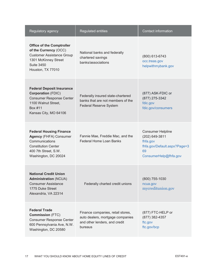| Regulatory agency                                                                                                                                               | <b>Regulated entities</b>                                                                                         | Contact information                                                                                                   |
|-----------------------------------------------------------------------------------------------------------------------------------------------------------------|-------------------------------------------------------------------------------------------------------------------|-----------------------------------------------------------------------------------------------------------------------|
| <b>Office of the Comptroller</b><br>of the Currency (OCC)<br><b>Customer Assistance Group</b><br>1301 McKinney Street<br><b>Suite 3450</b><br>Houston, TX 77010 | National banks and federally<br>chartered savings<br>banks/associations                                           | (800) 613-6743<br>occ.treas.gov<br>helpwithmybank.gov                                                                 |
| <b>Federal Deposit Insurance</b><br><b>Corporation (FDIC)</b><br><b>Consumer Response Center</b><br>1100 Walnut Street,<br>Box #11<br>Kansas City, MO 64106     | Federally insured state-chartered<br>banks that are not members of the<br><b>Federal Reserve System</b>           | (877) ASK-FDIC or<br>(877) 275-3342<br>fdic.gov<br>fdic.gov/consumers                                                 |
| <b>Federal Housing Finance</b><br><b>Agency</b> (FHFA) Consumer<br>Communications<br><b>Constitution Center</b><br>400 7th Street, S.W.<br>Washington, DC 20024 | Fannie Mae, Freddie Mac, and the<br><b>Federal Home Loan Banks</b>                                                | <b>Consumer Helpline</b><br>(202) 649-3811<br>fhfa.gov<br>fhfa.gov/Default.aspx?Page=3<br>69<br>ConsumerHelp@fhfa.gov |
| <b>National Credit Union</b><br><b>Administration (NCUA)</b><br><b>Consumer Assistance</b><br>1775 Duke Street<br>Alexandria, VA 22314                          | Federally charted credit unions                                                                                   | $(800)$ 755-1030<br>ncua.gov<br>mycreditunion.gov                                                                     |
| <b>Federal Trade</b><br><b>Commission (FTC)</b><br><b>Consumer Response Center</b><br>600 Pennsylvania Ave, N.W.<br>Washington, DC 20580                        | Finance companies, retail stores,<br>auto dealers, mortgage companies<br>and other lenders, and credit<br>bureaus | (877) FTC-HELP or<br>(877) 382-4357<br>ftc.gov<br>ftc.gov/bcp                                                         |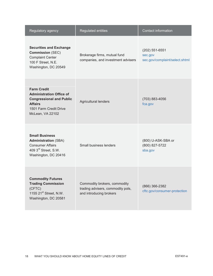| Regulatory agency                                                                                                                                        | <b>Regulated entities</b>                                                                    | <b>Contact information</b>                                  |
|----------------------------------------------------------------------------------------------------------------------------------------------------------|----------------------------------------------------------------------------------------------|-------------------------------------------------------------|
| <b>Securities and Exchange</b><br><b>Commission (SEC)</b><br><b>Complaint Center</b><br>100 F Street, N.E.<br>Washington, DC 20549                       | Brokerage firms, mutual fund<br>companies, and investment advisers                           | (202) 551-6551<br>sec.gov<br>sec.gov/complaint/select.shtml |
| <b>Farm Credit</b><br><b>Administration Office of</b><br><b>Congressional and Public</b><br><b>Affairs</b><br>1501 Farm Credit Drive<br>McLean, VA 22102 | <b>Agricultural lenders</b>                                                                  | $(703)$ 883-4056<br>fca.gov                                 |
| <b>Small Business</b><br><b>Administration (SBA)</b><br><b>Consumer Affairs</b><br>409 3rd Street, S.W.<br>Washington, DC 20416                          | Small business lenders                                                                       | (800) U-ASK-SBA or<br>(800) 827-5722<br>sba.gov             |
| <b>Commodity Futures</b><br><b>Trading Commission</b><br>(CFTC)<br>1155 21 <sup>st</sup> Street, N.W.<br>Washington, DC 20581                            | Commodity brokers, commodity<br>trading advisers, commodity pols,<br>and introducing brokers | (866) 366-2382<br>cftc.gov/consumer-protection              |